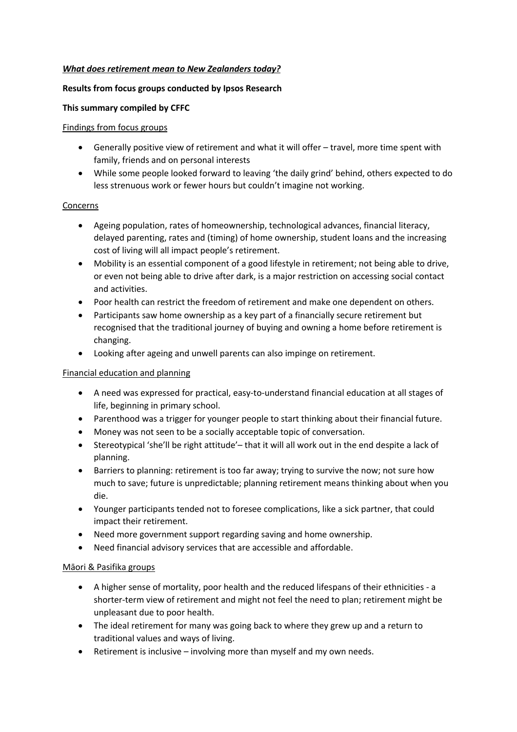# *What does retirement mean to New Zealanders today?*

## **Results from focus groups conducted by Ipsos Research**

### **This summary compiled by CFFC**

### Findings from focus groups

- Generally positive view of retirement and what it will offer travel, more time spent with family, friends and on personal interests
- While some people looked forward to leaving 'the daily grind' behind, others expected to do less strenuous work or fewer hours but couldn't imagine not working.

### Concerns

- Ageing population, rates of homeownership, technological advances, financial literacy, delayed parenting, rates and (timing) of home ownership, student loans and the increasing cost of living will all impact people's retirement.
- Mobility is an essential component of a good lifestyle in retirement; not being able to drive, or even not being able to drive after dark, is a major restriction on accessing social contact and activities.
- Poor health can restrict the freedom of retirement and make one dependent on others.
- Participants saw home ownership as a key part of a financially secure retirement but recognised that the traditional journey of buying and owning a home before retirement is changing.
- Looking after ageing and unwell parents can also impinge on retirement.

### Financial education and planning

- A need was expressed for practical, easy-to-understand financial education at all stages of life, beginning in primary school.
- Parenthood was a trigger for younger people to start thinking about their financial future.
- Money was not seen to be a socially acceptable topic of conversation.
- Stereotypical 'she'll be right attitude'– that it will all work out in the end despite a lack of planning.
- Barriers to planning: retirement is too far away; trying to survive the now; not sure how much to save; future is unpredictable; planning retirement means thinking about when you die.
- Younger participants tended not to foresee complications, like a sick partner, that could impact their retirement.
- Need more government support regarding saving and home ownership.
- Need financial advisory services that are accessible and affordable.

### Māori & Pasifika groups

- A higher sense of mortality, poor health and the reduced lifespans of their ethnicities a shorter-term view of retirement and might not feel the need to plan; retirement might be unpleasant due to poor health.
- The ideal retirement for many was going back to where they grew up and a return to traditional values and ways of living.
- Retirement is inclusive involving more than myself and my own needs.